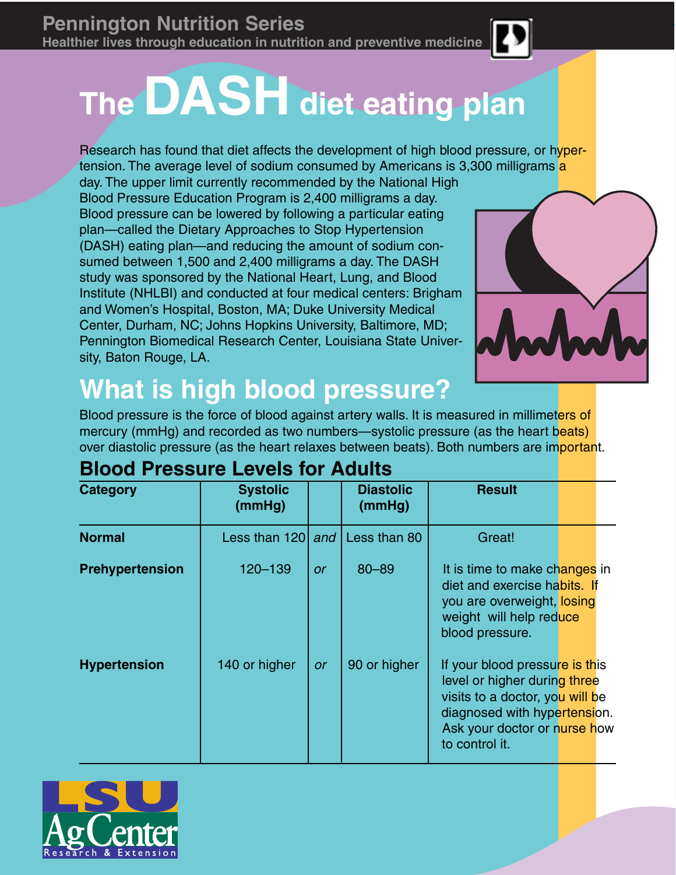# **The DASH diet eating plan**

Research has found that diet affects the development of high blood pressure, or hypertension. The average level of sodium consumed by Americans is 3,300 milligrams a

day. The upper limit currently recommended by the National High Blood Pressure Education Program is 2,400 milligrams a day. Blood pressure can be lowered by following a particular eating plan—called the Dietary Approaches to Stop Hypertension (DASH) eating plan—and reducing the amount of sodium consumed between 1,500 and 2,400 milligrams a day. The DASH study was sponsored by the National Heart, Lung, and Blood Institute (NHLBI) and conducted at four medical centers: Brigham and Women's Hospital, Boston, MA; Duke University Medical Center, Durham, NC; Johns Hopkins University, Baltimore, MD; Pennington Biomedical Research Center, Louisiana State University, Baton Rouge, LA.



## **What is high blood pressure?**

Blood pressure is the force of blood against artery walls. It is measured in millimeters of mercury (mmHg) and recorded as two numbers—systolic pressure (as the heart beats) over diastolic pressure (as the heart relaxes between beats). Both numbers are important.

| <b>Category</b>     | <b>Systolic</b><br>(mmHg) |           | <b>Diastolic</b><br>(mmHg) | <b>Result</b>                                                                                                                                                                       |  |
|---------------------|---------------------------|-----------|----------------------------|-------------------------------------------------------------------------------------------------------------------------------------------------------------------------------------|--|
| <b>Normal</b>       | Less than 120             | and       | Less than 80               | Great!                                                                                                                                                                              |  |
| Prehypertension     | 120-139                   | <b>or</b> | $80 - 89$                  | It is time to make changes in<br>diet and exercise habits. If<br>you are overweight, losing<br>weight will help reduce<br>blood pressure.                                           |  |
| <b>Hypertension</b> | 140 or higher             | <b>or</b> | 90 or higher               | If your blood pressure is this<br>level or higher during three<br>visits to a doctor, you will be<br>diagnosed with hypertension.<br>Ask your doctor or nurse how<br>to control it. |  |

### **Blood Pressure Levels for Adults**

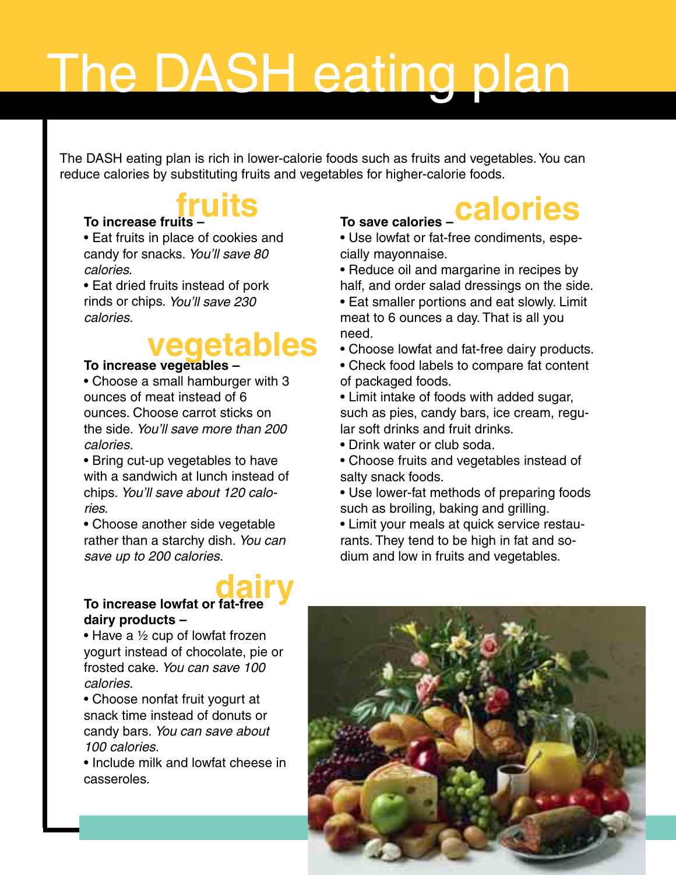# The DASH eating plan

The DASH eating plan is rich in lower-calorie foods such as fruits and vegetables. You can reduce calories by substituting fruits and vegetables for higher-calorie foods.

# **fruits**

#### **To increase fruits –**

• Eat fruits in place of cookies and candy for snacks. You'll save 80 calories.

• Eat dried fruits instead of pork rinds or chips. You'll save 230 calories.

# **vegetables**

### **To increase vegetables –**

• Choose a small hamburger with 3 ounces of meat instead of 6 ounces. Choose carrot sticks on the side. You'll save more than 200 calories.

• Bring cut-up vegetables to have with a sandwich at lunch instead of chips. You'll save about 120 calories.

• Choose another side vegetable rather than a starchy dish. You can save up to 200 calories.

## **To increase lowfat or fat-free dairy dairy products –**

• Have a  $\frac{1}{2}$  cup of lowfat frozen yogurt instead of chocolate, pie or frosted cake. You can save 100 calories.

• Choose nonfat fruit yogurt at snack time instead of donuts or candy bars. You can save about 100 calories.

• Include milk and lowfat cheese in casseroles.

### **To save calories – calories**

• Use lowfat or fat-free condiments, especially mayonnaise.

• Reduce oil and margarine in recipes by half, and order salad dressings on the side.

• Eat smaller portions and eat slowly. Limit meat to 6 ounces a day. That is all you need.

• Choose lowfat and fat-free dairy products.

• Check food labels to compare fat content of packaged foods.

• Limit intake of foods with added sugar, such as pies, candy bars, ice cream, regular soft drinks and fruit drinks.

• Drink water or club soda.

• Choose fruits and vegetables instead of salty snack foods.

• Use lower-fat methods of preparing foods such as broiling, baking and grilling.

• Limit your meals at quick service restaurants. They tend to be high in fat and sodium and low in fruits and vegetables.

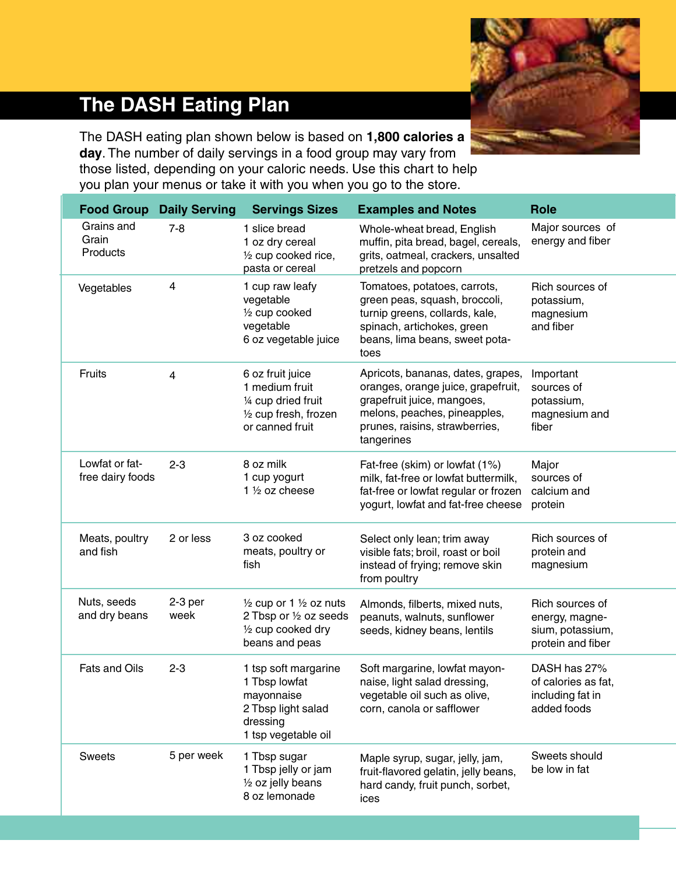

### **The DASH Eating Plan**

The DASH eating plan shown below is based on **1,800 calories a day**. The number of daily servings in a food group may vary from those listed, depending on your caloric needs. Use this chart to help you plan your menus or take it with you when you go to the store.

| <b>Food Group</b>                  | <b>Daily Serving</b> | <b>Servings Sizes</b>                                                                                          | <b>Examples and Notes</b>                                                                                                                                                             | <b>Role</b>                                                                |
|------------------------------------|----------------------|----------------------------------------------------------------------------------------------------------------|---------------------------------------------------------------------------------------------------------------------------------------------------------------------------------------|----------------------------------------------------------------------------|
| Grains and<br>Grain<br>Products    | $7 - 8$              | 1 slice bread<br>1 oz dry cereal<br>1/2 cup cooked rice,<br>pasta or cereal                                    | Whole-wheat bread, English<br>muffin, pita bread, bagel, cereals,<br>grits, oatmeal, crackers, unsalted<br>pretzels and popcorn                                                       | Major sources of<br>energy and fiber                                       |
| Vegetables                         | 4                    | 1 cup raw leafy<br>vegetable<br>1/2 cup cooked<br>vegetable<br>6 oz vegetable juice                            | Tomatoes, potatoes, carrots,<br>green peas, squash, broccoli,<br>turnip greens, collards, kale,<br>spinach, artichokes, green<br>beans, lima beans, sweet pota-<br>toes               | Rich sources of<br>potassium,<br>magnesium<br>and fiber                    |
| Fruits                             | $\overline{4}$       | 6 oz fruit juice<br>1 medium fruit<br>1/4 cup dried fruit<br>1/2 cup fresh, frozen<br>or canned fruit          | Apricots, bananas, dates, grapes,<br>oranges, orange juice, grapefruit,<br>grapefruit juice, mangoes,<br>melons, peaches, pineapples,<br>prunes, raisins, strawberries,<br>tangerines | Important<br>sources of<br>potassium,<br>magnesium and<br>fiber            |
| Lowfat or fat-<br>free dairy foods | $2 - 3$              | 8 oz milk<br>1 cup yogurt<br>1 $\frac{1}{2}$ oz cheese                                                         | Fat-free (skim) or lowfat (1%)<br>milk, fat-free or lowfat buttermilk,<br>fat-free or lowfat regular or frozen<br>yogurt, lowfat and fat-free cheese                                  | Major<br>sources of<br>calcium and<br>protein                              |
| Meats, poultry<br>and fish         | 2 or less            | 3 oz cooked<br>meats, poultry or<br>fish                                                                       | Select only lean; trim away<br>visible fats; broil, roast or boil<br>instead of frying; remove skin<br>from poultry                                                                   | Rich sources of<br>protein and<br>magnesium                                |
| Nuts, seeds<br>and dry beans       | $2-3$ per<br>week    | $\frac{1}{2}$ cup or 1 $\frac{1}{2}$ oz nuts<br>2 Tbsp or 1/2 oz seeds<br>1/2 cup cooked dry<br>beans and peas | Almonds, filberts, mixed nuts,<br>peanuts, walnuts, sunflower<br>seeds, kidney beans, lentils                                                                                         | Rich sources of<br>energy, magne-<br>sium, potassium,<br>protein and fiber |
| Fats and Oils                      | $2 - 3$              | 1 tsp soft margarine<br>1 Tbsp lowfat<br>mayonnaise<br>2 Tbsp light salad<br>dressing<br>1 tsp vegetable oil   | Soft margarine, lowfat mayon-<br>naise, light salad dressing,<br>vegetable oil such as olive.<br>corn, canola or safflower                                                            | DASH has 27%<br>of calories as fat,<br>including fat in<br>added foods     |
| <b>Sweets</b>                      | 5 per week           | 1 Tbsp sugar<br>1 Tbsp jelly or jam<br>1/2 oz jelly beans<br>8 oz lemonade                                     | Maple syrup, sugar, jelly, jam,<br>fruit-flavored gelatin, jelly beans,<br>hard candy, fruit punch, sorbet,<br>ices                                                                   | Sweets should<br>be low in fat                                             |